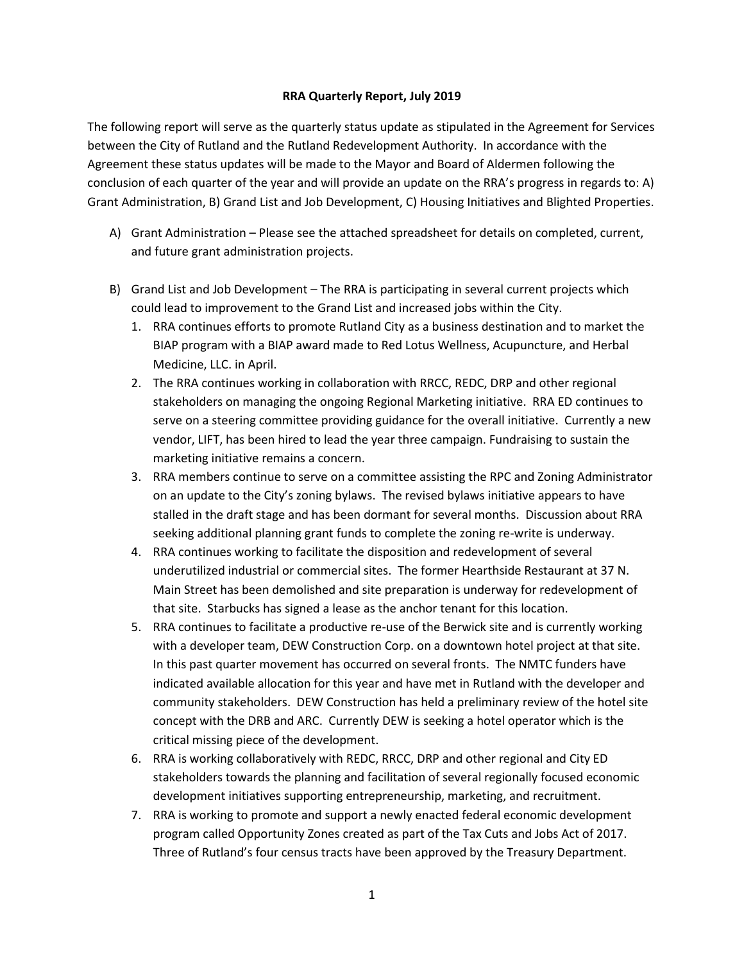## **RRA Quarterly Report, July 2019**

The following report will serve as the quarterly status update as stipulated in the Agreement for Services between the City of Rutland and the Rutland Redevelopment Authority. In accordance with the Agreement these status updates will be made to the Mayor and Board of Aldermen following the conclusion of each quarter of the year and will provide an update on the RRA's progress in regards to: A) Grant Administration, B) Grand List and Job Development, C) Housing Initiatives and Blighted Properties.

- A) Grant Administration Please see the attached spreadsheet for details on completed, current, and future grant administration projects.
- B) Grand List and Job Development The RRA is participating in several current projects which could lead to improvement to the Grand List and increased jobs within the City.
	- 1. RRA continues efforts to promote Rutland City as a business destination and to market the BIAP program with a BIAP award made to Red Lotus Wellness, Acupuncture, and Herbal Medicine, LLC. in April.
	- 2. The RRA continues working in collaboration with RRCC, REDC, DRP and other regional stakeholders on managing the ongoing Regional Marketing initiative. RRA ED continues to serve on a steering committee providing guidance for the overall initiative. Currently a new vendor, LIFT, has been hired to lead the year three campaign. Fundraising to sustain the marketing initiative remains a concern.
	- 3. RRA members continue to serve on a committee assisting the RPC and Zoning Administrator on an update to the City's zoning bylaws. The revised bylaws initiative appears to have stalled in the draft stage and has been dormant for several months. Discussion about RRA seeking additional planning grant funds to complete the zoning re-write is underway.
	- 4. RRA continues working to facilitate the disposition and redevelopment of several underutilized industrial or commercial sites. The former Hearthside Restaurant at 37 N. Main Street has been demolished and site preparation is underway for redevelopment of that site. Starbucks has signed a lease as the anchor tenant for this location.
	- 5. RRA continues to facilitate a productive re-use of the Berwick site and is currently working with a developer team, DEW Construction Corp. on a downtown hotel project at that site. In this past quarter movement has occurred on several fronts. The NMTC funders have indicated available allocation for this year and have met in Rutland with the developer and community stakeholders. DEW Construction has held a preliminary review of the hotel site concept with the DRB and ARC. Currently DEW is seeking a hotel operator which is the critical missing piece of the development.
	- 6. RRA is working collaboratively with REDC, RRCC, DRP and other regional and City ED stakeholders towards the planning and facilitation of several regionally focused economic development initiatives supporting entrepreneurship, marketing, and recruitment.
	- 7. RRA is working to promote and support a newly enacted federal economic development program called Opportunity Zones created as part of the Tax Cuts and Jobs Act of 2017. Three of Rutland's four census tracts have been approved by the Treasury Department.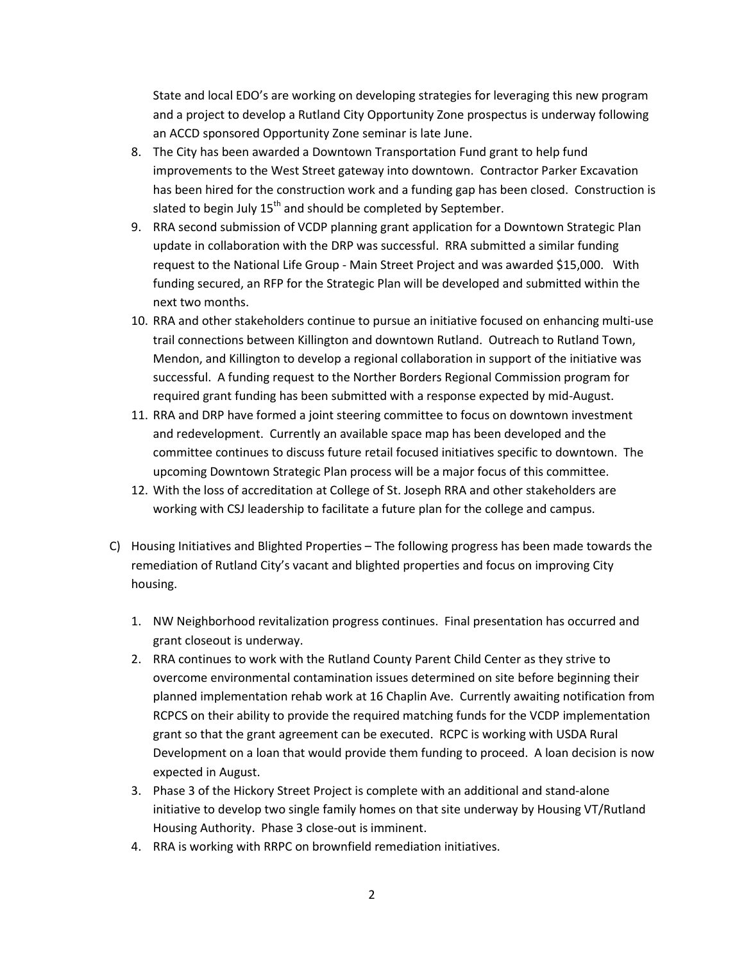State and local EDO's are working on developing strategies for leveraging this new program and a project to develop a Rutland City Opportunity Zone prospectus is underway following an ACCD sponsored Opportunity Zone seminar is late June.

- 8. The City has been awarded a Downtown Transportation Fund grant to help fund improvements to the West Street gateway into downtown. Contractor Parker Excavation has been hired for the construction work and a funding gap has been closed. Construction is slated to begin July  $15<sup>th</sup>$  and should be completed by September.
- 9. RRA second submission of VCDP planning grant application for a Downtown Strategic Plan update in collaboration with the DRP was successful. RRA submitted a similar funding request to the National Life Group - Main Street Project and was awarded \$15,000. With funding secured, an RFP for the Strategic Plan will be developed and submitted within the next two months.
- 10. RRA and other stakeholders continue to pursue an initiative focused on enhancing multi-use trail connections between Killington and downtown Rutland. Outreach to Rutland Town, Mendon, and Killington to develop a regional collaboration in support of the initiative was successful. A funding request to the Norther Borders Regional Commission program for required grant funding has been submitted with a response expected by mid-August.
- 11. RRA and DRP have formed a joint steering committee to focus on downtown investment and redevelopment. Currently an available space map has been developed and the committee continues to discuss future retail focused initiatives specific to downtown. The upcoming Downtown Strategic Plan process will be a major focus of this committee.
- 12. With the loss of accreditation at College of St. Joseph RRA and other stakeholders are working with CSJ leadership to facilitate a future plan for the college and campus.
- C) Housing Initiatives and Blighted Properties The following progress has been made towards the remediation of Rutland City's vacant and blighted properties and focus on improving City housing.
	- 1. NW Neighborhood revitalization progress continues. Final presentation has occurred and grant closeout is underway.
	- 2. RRA continues to work with the Rutland County Parent Child Center as they strive to overcome environmental contamination issues determined on site before beginning their planned implementation rehab work at 16 Chaplin Ave. Currently awaiting notification from RCPCS on their ability to provide the required matching funds for the VCDP implementation grant so that the grant agreement can be executed. RCPC is working with USDA Rural Development on a loan that would provide them funding to proceed. A loan decision is now expected in August.
	- 3. Phase 3 of the Hickory Street Project is complete with an additional and stand-alone initiative to develop two single family homes on that site underway by Housing VT/Rutland Housing Authority. Phase 3 close-out is imminent.
	- 4. RRA is working with RRPC on brownfield remediation initiatives.